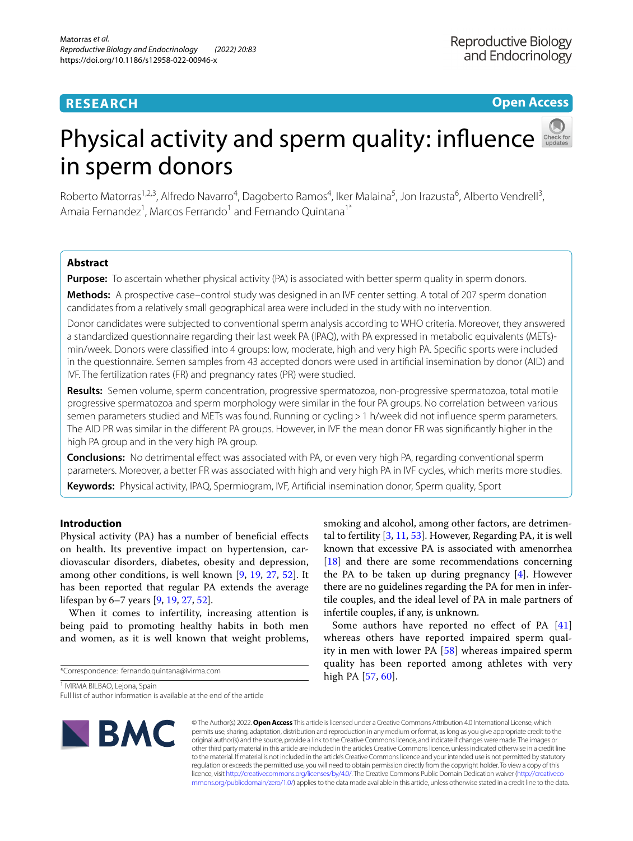# **RESEARCH**

**Open Access**

# Physical activity and sperm quality: infuence in sperm donors

Roberto Matorras<sup>1,2,3</sup>, Alfredo Navarro<sup>4</sup>, Dagoberto Ramos<sup>4</sup>, Iker Malaina<sup>5</sup>, Jon Irazusta<sup>6</sup>, Alberto Vendrell<sup>3</sup>, Amaia Fernandez<sup>1</sup>, Marcos Ferrando<sup>1</sup> and Fernando Quintana<sup>1\*</sup>

# **Abstract**

**Purpose:** To ascertain whether physical activity (PA) is associated with better sperm quality in sperm donors.

**Methods:** A prospective case–control study was designed in an IVF center setting. A total of 207 sperm donation candidates from a relatively small geographical area were included in the study with no intervention.

Donor candidates were subjected to conventional sperm analysis according to WHO criteria. Moreover, they answered a standardized questionnaire regarding their last week PA (IPAQ), with PA expressed in metabolic equivalents (METs) min/week. Donors were classifed into 4 groups: low, moderate, high and very high PA. Specifc sports were included in the questionnaire. Semen samples from 43 accepted donors were used in artifcial insemination by donor (AID) and IVF. The fertilization rates (FR) and pregnancy rates (PR) were studied.

**Results:** Semen volume, sperm concentration, progressive spermatozoa, non-progressive spermatozoa, total motile progressive spermatozoa and sperm morphology were similar in the four PA groups. No correlation between various semen parameters studied and METs was found. Running or cycling > 1 h/week did not influence sperm parameters. The AID PR was similar in the diferent PA groups. However, in IVF the mean donor FR was signifcantly higher in the high PA group and in the very high PA group.

**Conclusions:** No detrimental efect was associated with PA, or even very high PA, regarding conventional sperm parameters. Moreover, a better FR was associated with high and very high PA in IVF cycles, which merits more studies.

**Keywords:** Physical activity, IPAQ, Spermiogram, IVF, Artifcial insemination donor, Sperm quality, Sport

# **Introduction**

Physical activity (PA) has a number of beneficial effects on health. Its preventive impact on hypertension, cardiovascular disorders, diabetes, obesity and depression, among other conditions, is well known [\[9](#page-8-0), [19](#page-8-1), [27](#page-8-2), [52\]](#page-9-0). It has been reported that regular PA extends the average lifespan by 6–7 years [\[9](#page-8-0), [19](#page-8-1), [27,](#page-8-2) [52](#page-9-0)].

When it comes to infertility, increasing attention is being paid to promoting healthy habits in both men and women, as it is well known that weight problems,

\*Correspondence: fernando.quintana@ivirma.com

<sup>1</sup> IVIRMA BILBAO, Lejona, Spain

Full list of author information is available at the end of the article



smoking and alcohol, among other factors, are detrimental to fertility [\[3](#page-8-3), [11](#page-8-4), [53\]](#page-9-1). However, Regarding PA, it is well known that excessive PA is associated with amenorrhea [[18\]](#page-8-5) and there are some recommendations concerning the PA to be taken up during pregnancy [\[4](#page-8-6)]. However there are no guidelines regarding the PA for men in infertile couples, and the ideal level of PA in male partners of infertile couples, if any, is unknown.

Some authors have reported no effect of PA [\[41](#page-9-2)] whereas others have reported impaired sperm quality in men with lower PA [[58\]](#page-9-3) whereas impaired sperm quality has been reported among athletes with very high PA [[57,](#page-9-4) [60\]](#page-9-5).

© The Author(s) 2022. **Open Access** This article is licensed under a Creative Commons Attribution 4.0 International License, which permits use, sharing, adaptation, distribution and reproduction in any medium or format, as long as you give appropriate credit to the original author(s) and the source, provide a link to the Creative Commons licence, and indicate if changes were made. The images or other third party material in this article are included in the article's Creative Commons licence, unless indicated otherwise in a credit line to the material. If material is not included in the article's Creative Commons licence and your intended use is not permitted by statutory regulation or exceeds the permitted use, you will need to obtain permission directly from the copyright holder. To view a copy of this licence, visit [http://creativecommons.org/licenses/by/4.0/.](http://creativecommons.org/licenses/by/4.0/) The Creative Commons Public Domain Dedication waiver ([http://creativeco](http://creativecommons.org/publicdomain/zero/1.0/) [mmons.org/publicdomain/zero/1.0/](http://creativecommons.org/publicdomain/zero/1.0/)) applies to the data made available in this article, unless otherwise stated in a credit line to the data.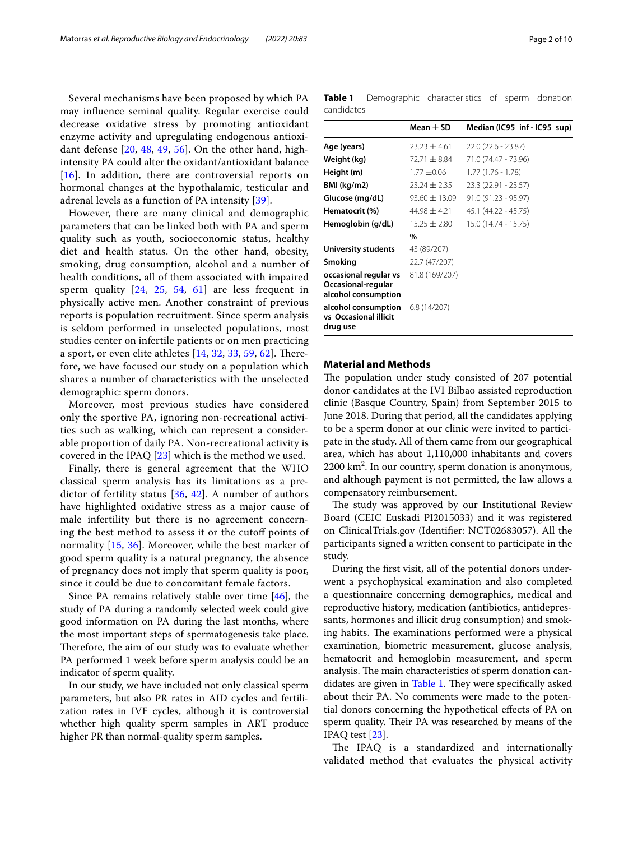Several mechanisms have been proposed by which PA may infuence seminal quality. Regular exercise could decrease oxidative stress by promoting antioxidant enzyme activity and upregulating endogenous antioxidant defense [[20](#page-8-7), [48,](#page-9-6) [49](#page-9-7), [56\]](#page-9-8). On the other hand, highintensity PA could alter the oxidant/antioxidant balance [[16](#page-8-8)]. In addition, there are controversial reports on hormonal changes at the hypothalamic, testicular and adrenal levels as a function of PA intensity [\[39\]](#page-8-9).

However, there are many clinical and demographic parameters that can be linked both with PA and sperm quality such as youth, socioeconomic status, healthy diet and health status. On the other hand, obesity, smoking, drug consumption, alcohol and a number of health conditions, all of them associated with impaired sperm quality [[24,](#page-8-10) [25](#page-8-11), [54](#page-9-9), [61\]](#page-9-10) are less frequent in physically active men. Another constraint of previous reports is population recruitment. Since sperm analysis is seldom performed in unselected populations, most studies center on infertile patients or on men practicing a sport, or even elite athletes  $[14, 32, 33, 59, 62]$  $[14, 32, 33, 59, 62]$  $[14, 32, 33, 59, 62]$  $[14, 32, 33, 59, 62]$  $[14, 32, 33, 59, 62]$  $[14, 32, 33, 59, 62]$  $[14, 32, 33, 59, 62]$  $[14, 32, 33, 59, 62]$ . Therefore, we have focused our study on a population which shares a number of characteristics with the unselected demographic: sperm donors.

Moreover, most previous studies have considered only the sportive PA, ignoring non-recreational activities such as walking, which can represent a considerable proportion of daily PA. Non-recreational activity is covered in the IPAQ [[23](#page-8-15)] which is the method we used.

Finally, there is general agreement that the WHO classical sperm analysis has its limitations as a predictor of fertility status [[36,](#page-8-16) [42](#page-9-13)]. A number of authors have highlighted oxidative stress as a major cause of male infertility but there is no agreement concerning the best method to assess it or the cutoff points of normality [[15,](#page-8-17) [36](#page-8-16)]. Moreover, while the best marker of good sperm quality is a natural pregnancy, the absence of pregnancy does not imply that sperm quality is poor, since it could be due to concomitant female factors.

Since PA remains relatively stable over time [\[46](#page-9-14)], the study of PA during a randomly selected week could give good information on PA during the last months, where the most important steps of spermatogenesis take place. Therefore, the aim of our study was to evaluate whether PA performed 1 week before sperm analysis could be an indicator of sperm quality.

In our study, we have included not only classical sperm parameters, but also PR rates in AID cycles and fertilization rates in IVF cycles, although it is controversial whether high quality sperm samples in ART produce higher PR than normal-quality sperm samples.

<span id="page-1-0"></span>**Table 1** Demographic characteristics of sperm donation candidates

|                                                                    | Mean $\pm$ SD     | Median (IC95_inf - IC95_sup) |
|--------------------------------------------------------------------|-------------------|------------------------------|
| Age (years)                                                        | $23.23 \pm 4.61$  | $22.0(22.6 - 23.87)$         |
| Weight (kg)                                                        | $72.71 + 8.84$    | 71.0 (74.47 - 73.96)         |
| Height (m)                                                         | $1.77 + 0.06$     | $1.77(1.76 - 1.78)$          |
| BMI (kg/m2)                                                        | $23.24 \pm 2.35$  | 23.3 (22.91 - 23.57)         |
| Glucose (mg/dL)                                                    | $93.60 \pm 13.09$ | $91.0(91.23 - 95.97)$        |
| Hematocrit (%)                                                     | $44.98 \pm 4.21$  | 45.1 (44.22 - 45.75)         |
| Hemoglobin (g/dL)                                                  | $15.25 \pm 2.80$  | 15.0 (14.74 - 15.75)         |
|                                                                    | $\frac{0}{0}$     |                              |
| University students                                                | 43 (89/207)       |                              |
| Smoking                                                            | 22.7 (47/207)     |                              |
| occasional regular vs<br>Occasional-regular<br>alcohol consumption | 81.8 (169/207)    |                              |
| alcohol consumption<br>vs Occasional illicit<br>drug use           | 6.8(14/207)       |                              |

#### **Material and Methods**

The population under study consisted of 207 potential donor candidates at the IVI Bilbao assisted reproduction clinic (Basque Country, Spain) from September 2015 to June 2018. During that period, all the candidates applying to be a sperm donor at our clinic were invited to participate in the study. All of them came from our geographical area, which has about 1,110,000 inhabitants and covers 2200 km2 . In our country, sperm donation is anonymous, and although payment is not permitted, the law allows a compensatory reimbursement.

The study was approved by our Institutional Review Board (CEIC Euskadi PI2015033) and it was registered on ClinicalTrials.gov (Identifer: NCT02683057). All the participants signed a written consent to participate in the study.

During the frst visit, all of the potential donors underwent a psychophysical examination and also completed a questionnaire concerning demographics, medical and reproductive history, medication (antibiotics, antidepressants, hormones and illicit drug consumption) and smoking habits. The examinations performed were a physical examination, biometric measurement, glucose analysis, hematocrit and hemoglobin measurement, and sperm analysis. The main characteristics of sperm donation can-didates are given in [Table 1.](#page-1-0) They were specifically asked about their PA. No comments were made to the potential donors concerning the hypothetical efects of PA on sperm quality. Their PA was researched by means of the IPAQ test [\[23\]](#page-8-15).

The IPAQ is a standardized and internationally validated method that evaluates the physical activity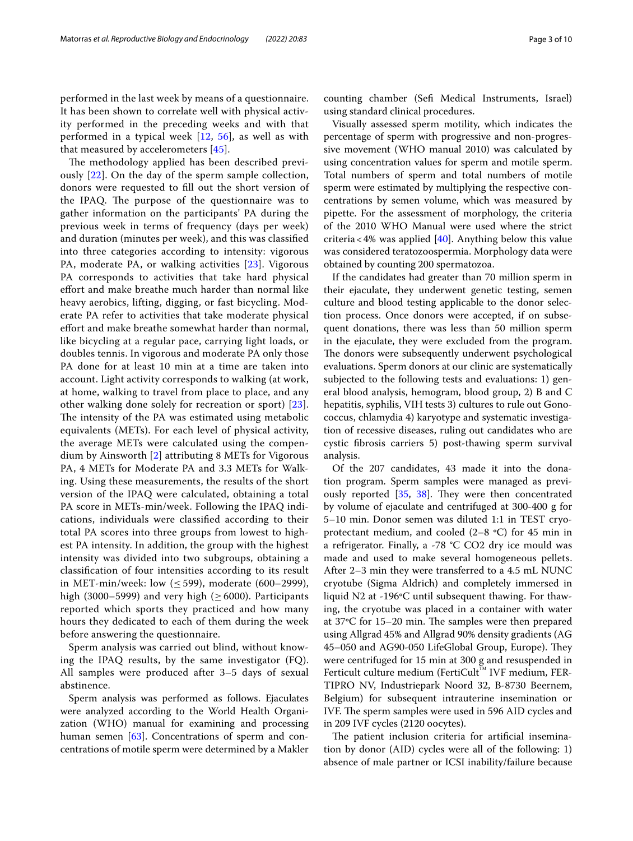performed in the last week by means of a questionnaire. It has been shown to correlate well with physical activity performed in the preceding weeks and with that performed in a typical week [\[12,](#page-8-18) [56](#page-9-8)], as well as with that measured by accelerometers [[45\]](#page-9-15).

The methodology applied has been described previously [\[22](#page-8-19)]. On the day of the sperm sample collection, donors were requested to fll out the short version of the IPAQ. The purpose of the questionnaire was to gather information on the participants' PA during the previous week in terms of frequency (days per week) and duration (minutes per week), and this was classifed into three categories according to intensity: vigorous PA, moderate PA, or walking activities [[23](#page-8-15)]. Vigorous PA corresponds to activities that take hard physical efort and make breathe much harder than normal like heavy aerobics, lifting, digging, or fast bicycling. Moderate PA refer to activities that take moderate physical effort and make breathe somewhat harder than normal, like bicycling at a regular pace, carrying light loads, or doubles tennis. In vigorous and moderate PA only those PA done for at least 10 min at a time are taken into account. Light activity corresponds to walking (at work, at home, walking to travel from place to place, and any other walking done solely for recreation or sport) [[23](#page-8-15)]. The intensity of the PA was estimated using metabolic equivalents (METs). For each level of physical activity, the average METs were calculated using the compendium by Ainsworth [\[2](#page-8-20)] attributing 8 METs for Vigorous PA, 4 METs for Moderate PA and 3.3 METs for Walking. Using these measurements, the results of the short version of the IPAQ were calculated, obtaining a total PA score in METs-min/week. Following the IPAQ indications, individuals were classifed according to their total PA scores into three groups from lowest to highest PA intensity. In addition, the group with the highest intensity was divided into two subgroups, obtaining a classifcation of four intensities according to its result in MET-min/week: low  $(\leq 599)$ , moderate (600–2999), high (3000–5999) and very high ( $\geq$  6000). Participants reported which sports they practiced and how many hours they dedicated to each of them during the week before answering the questionnaire.

Sperm analysis was carried out blind, without knowing the IPAQ results, by the same investigator (FQ). All samples were produced after 3–5 days of sexual abstinence.

Sperm analysis was performed as follows. Ejaculates were analyzed according to the World Health Organization (WHO) manual for examining and processing human semen [[63](#page-9-16)]. Concentrations of sperm and concentrations of motile sperm were determined by a Makler counting chamber (Sef Medical Instruments, Israel) using standard clinical procedures.

Visually assessed sperm motility, which indicates the percentage of sperm with progressive and non-progressive movement (WHO manual 2010) was calculated by using concentration values for sperm and motile sperm. Total numbers of sperm and total numbers of motile sperm were estimated by multiplying the respective concentrations by semen volume, which was measured by pipette. For the assessment of morphology, the criteria of the 2010 WHO Manual were used where the strict criteria < 4% was applied  $[40]$  $[40]$ . Anything below this value was considered teratozoospermia. Morphology data were obtained by counting 200 spermatozoa.

If the candidates had greater than 70 million sperm in their ejaculate, they underwent genetic testing, semen culture and blood testing applicable to the donor selection process. Once donors were accepted, if on subsequent donations, there was less than 50 million sperm in the ejaculate, they were excluded from the program. The donors were subsequently underwent psychological evaluations. Sperm donors at our clinic are systematically subjected to the following tests and evaluations: 1) general blood analysis, hemogram, blood group, 2) B and C hepatitis, syphilis, VIH tests 3) cultures to rule out Gonococcus, chlamydia 4) karyotype and systematic investigation of recessive diseases, ruling out candidates who are cystic fbrosis carriers 5) post-thawing sperm survival analysis.

Of the 207 candidates, 43 made it into the donation program. Sperm samples were managed as previously reported  $[35, 38]$  $[35, 38]$  $[35, 38]$  $[35, 38]$ . They were then concentrated by volume of ejaculate and centrifuged at 300-400 g for 5–10 min. Donor semen was diluted 1:1 in TEST cryoprotectant medium, and cooled  $(2-8 \text{ °C})$  for 45 min in a refrigerator. Finally, a -78 °C CO2 dry ice mould was made and used to make several homogeneous pellets. After 2–3 min they were transferred to a 4.5 mL NUNC cryotube (Sigma Aldrich) and completely immersed in liquid N2 at -196ºC until subsequent thawing. For thawing, the cryotube was placed in a container with water at  $37^{\circ}$ C for  $15-20$  min. The samples were then prepared using Allgrad 45% and Allgrad 90% density gradients (AG 45–050 and AG90-050 LifeGlobal Group, Europe). They were centrifuged for 15 min at 300 g and resuspended in Ferticult culture medium (FertiCult™ IVF medium, FER-TIPRO NV, Industriepark Noord 32, B-8730 Beernem, Belgium) for subsequent intrauterine insemination or IVF. The sperm samples were used in 596 AID cycles and in 209 IVF cycles (2120 oocytes).

The patient inclusion criteria for artificial insemination by donor (AID) cycles were all of the following: 1) absence of male partner or ICSI inability/failure because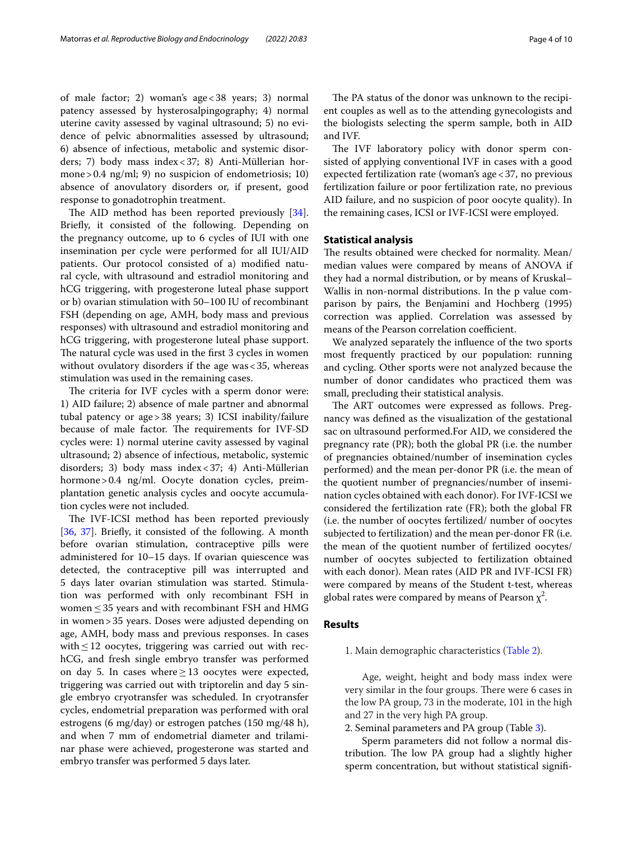of male factor; 2) woman's age<38 years; 3) normal patency assessed by hysterosalpingography; 4) normal uterine cavity assessed by vaginal ultrasound; 5) no evidence of pelvic abnormalities assessed by ultrasound; 6) absence of infectious, metabolic and systemic disorders; 7) body mass index<37; 8) Anti-Müllerian hormone>0.4 ng/ml; 9) no suspicion of endometriosis; 10) absence of anovulatory disorders or, if present, good response to gonadotrophin treatment.

The AID method has been reported previously [\[34](#page-8-24)]. Briefy, it consisted of the following. Depending on the pregnancy outcome, up to 6 cycles of IUI with one insemination per cycle were performed for all IUI/AID patients. Our protocol consisted of a) modifed natural cycle, with ultrasound and estradiol monitoring and hCG triggering, with progesterone luteal phase support or b) ovarian stimulation with 50–100 IU of recombinant FSH (depending on age, AMH, body mass and previous responses) with ultrasound and estradiol monitoring and hCG triggering, with progesterone luteal phase support. The natural cycle was used in the first 3 cycles in women without ovulatory disorders if the age was  $<$  35, whereas stimulation was used in the remaining cases.

The criteria for IVF cycles with a sperm donor were: 1) AID failure; 2) absence of male partner and abnormal tubal patency or age>38 years; 3) ICSI inability/failure because of male factor. The requirements for IVF-SD cycles were: 1) normal uterine cavity assessed by vaginal ultrasound; 2) absence of infectious, metabolic, systemic disorders; 3) body mass index<37; 4) Anti-Müllerian hormone>0.4 ng/ml. Oocyte donation cycles, preimplantation genetic analysis cycles and oocyte accumulation cycles were not included.

The IVF-ICSI method has been reported previously [[36,](#page-8-16) [37\]](#page-8-25). Briefy, it consisted of the following. A month before ovarian stimulation, contraceptive pills were administered for 10–15 days. If ovarian quiescence was detected, the contraceptive pill was interrupted and 5 days later ovarian stimulation was started. Stimulation was performed with only recombinant FSH in women  $\leq$  35 years and with recombinant FSH and HMG in women>35 years. Doses were adjusted depending on age, AMH, body mass and previous responses. In cases with $\leq$ 12 oocytes, triggering was carried out with rechCG, and fresh single embryo transfer was performed on day 5. In cases where≥13 oocytes were expected, triggering was carried out with triptorelin and day 5 single embryo cryotransfer was scheduled. In cryotransfer cycles, endometrial preparation was performed with oral estrogens (6 mg/day) or estrogen patches (150 mg/48 h), and when 7 mm of endometrial diameter and trilaminar phase were achieved, progesterone was started and embryo transfer was performed 5 days later.

The PA status of the donor was unknown to the recipient couples as well as to the attending gynecologists and the biologists selecting the sperm sample, both in AID and IVF.

The IVF laboratory policy with donor sperm consisted of applying conventional IVF in cases with a good expected fertilization rate (woman's age<37, no previous fertilization failure or poor fertilization rate, no previous AID failure, and no suspicion of poor oocyte quality). In the remaining cases, ICSI or IVF-ICSI were employed.

#### **Statistical analysis**

The results obtained were checked for normality. Mean/ median values were compared by means of ANOVA if they had a normal distribution, or by means of Kruskal– Wallis in non-normal distributions. In the p value comparison by pairs, the Benjamini and Hochberg (1995) correction was applied. Correlation was assessed by means of the Pearson correlation coefficient.

We analyzed separately the infuence of the two sports most frequently practiced by our population: running and cycling. Other sports were not analyzed because the number of donor candidates who practiced them was small, precluding their statistical analysis.

The ART outcomes were expressed as follows. Pregnancy was defned as the visualization of the gestational sac on ultrasound performed.For AID, we considered the pregnancy rate (PR); both the global PR (i.e. the number of pregnancies obtained/number of insemination cycles performed) and the mean per-donor PR (i.e. the mean of the quotient number of pregnancies/number of insemination cycles obtained with each donor). For IVF-ICSI we considered the fertilization rate (FR); both the global FR (i.e. the number of oocytes fertilized/ number of oocytes subjected to fertilization) and the mean per-donor FR (i.e. the mean of the quotient number of fertilized oocytes/ number of oocytes subjected to fertilization obtained with each donor). Mean rates (AID PR and IVF-ICSI FR) were compared by means of the Student t-test, whereas global rates were compared by means of Pearson  $\chi^2$ .

# **Results**

1. Main demographic characteristics ([Table 2](#page-4-0)).

Age, weight, height and body mass index were very similar in the four groups. There were 6 cases in the low PA group, 73 in the moderate, 101 in the high and 27 in the very high PA group.

2. Seminal parameters and PA group (Table [3\)](#page-4-1).

Sperm parameters did not follow a normal distribution. The low PA group had a slightly higher sperm concentration, but without statistical signif-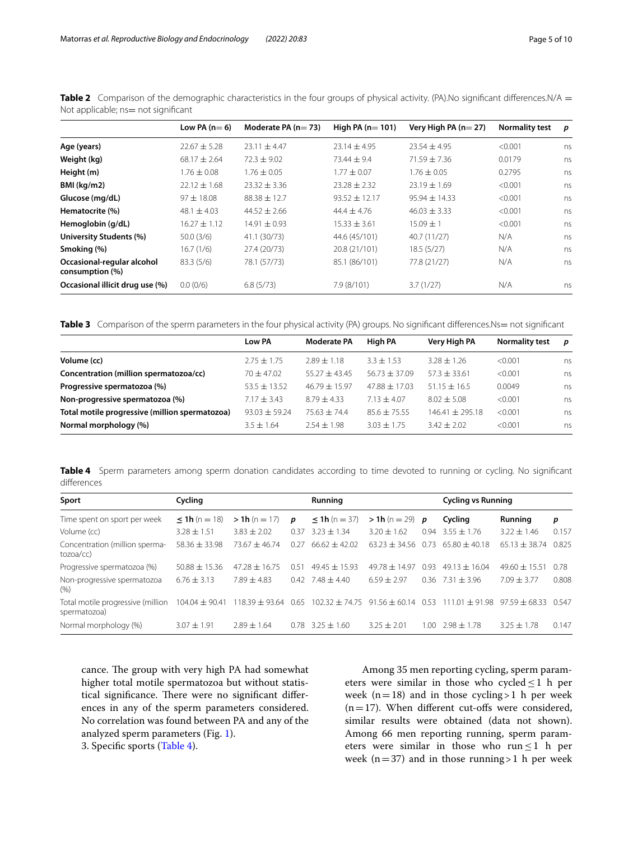|                                               | Low PA $(n=6)$   | Moderate PA $(n=73)$ | High PA $(n=101)$ | Very High PA $(n=27)$ | <b>Normality test</b><br>< 0.001 | p  |  |
|-----------------------------------------------|------------------|----------------------|-------------------|-----------------------|----------------------------------|----|--|
| Age (years)                                   | $22.67 + 5.28$   | $23.11 + 4.47$       | $23.14 + 4.95$    | $23.54 + 4.95$        |                                  | ns |  |
| Weight (kg)                                   | $68.17 \pm 2.64$ | $72.3 \pm 9.02$      | $73.44 + 9.4$     | $71.59 \pm 7.36$      | 0.0179                           | ns |  |
| Height (m)                                    | $1.76 \pm 0.08$  | $1.76 \pm 0.05$      | $1.77 + 0.07$     | $1.76 \pm 0.05$       | 0.2795                           | ns |  |
| BMI (kg/m2)                                   | $22.12 \pm 1.68$ | $23.32 \pm 3.36$     | $23.28 \pm 2.32$  | $23.19 \pm 1.69$      | < 0.001                          | ns |  |
| Glucose (mg/dL)                               | $97 \pm 18.08$   | $88.38 \pm 12.7$     | $93.52 \pm 12.17$ | $95.94 \pm 14.33$     | < 0.001                          | ns |  |
| Hematocrite (%)                               | 48.1 $\pm$ 4.03  | $44.52 \pm 2.66$     | $44.4 + 4.76$     | $46.03 \pm 3.33$      | < 0.001                          | ns |  |
| Hemoglobin (g/dL)                             | $16.27 + 1.12$   | $14.91 \pm 0.93$     | $15.33 \pm 3.61$  | $15.09 + 1$           | < 0.001                          | ns |  |
| University Students (%)                       | 50.0(3/6)        | 41.1 (30/73)         | 44.6 (45/101)     | 40.7 (11/27)          | N/A                              | ns |  |
| Smoking (%)                                   | 16.7(1/6)        | 27.4 (20/73)         | 20.8 (21/101)     | 18.5(5/27)            | N/A                              | ns |  |
| Occasional-regular alcohol<br>consumption (%) | 83.3(5/6)        | 78.1 (57/73)         | 85.1 (86/101)     | 77.8 (21/27)          | N/A                              | ns |  |
| Occasional illicit drug use (%)               | 0.0(0/6)         | 6.8(5/73)            | 7.9 (8/101)       | 3.7(1/27)             | N/A                              | ns |  |

<span id="page-4-0"></span>**Table 2** Comparison of the demographic characteristics in the four groups of physical activity. (PA).No significant differences.N/A = Not applicable; ns= not significant

<span id="page-4-1"></span>**Table 3** Comparison of the sperm parameters in the four physical activity (PA) groups. No significant differences.Ns= not significant

|                                                | Low PA          | <b>Moderate PA</b> | <b>High PA</b>  | Very High PA      | <b>Normality test</b> | p  |
|------------------------------------------------|-----------------|--------------------|-----------------|-------------------|-----------------------|----|
| Volume (cc)                                    | $2.75 + 1.75$   | $7.89 + 1.18$      | $3.3 + 1.53$    | $3.28 + 1.26$     | < 0.001               | ns |
| Concentration (million spermatozoa/cc)         | $70 + 47.02$    | $55.27 + 43.45$    | $56.73 + 37.09$ | $57.3 + 33.61$    | < 0.001               | ns |
| Progressive spermatozoa (%)                    | $53.5 + 13.52$  | $46.79 + 15.97$    | $47.88 + 17.03$ | $51.15 \pm 16.5$  | 0.0049                | ns |
| Non-progressive spermatozoa (%)                | $7.17 + 3.43$   | $8.79 + 4.33$      | $7.13 \pm 4.07$ | $8.02 + 5.08$     | < 0.001               | ns |
| Total motile progressive (million spermatozoa) | $93.03 + 59.24$ | $75.63 + 74.4$     | $85.6 + 75.55$  | $146.41 + 295.18$ | < 0.001               | ns |
| Normal morphology (%)                          | $3.5 + 1.64$    | $2.54 \pm 1.98$    | $3.03 + 1.75$   | $3.42 \pm 2.02$   | < 0.001               | ns |

<span id="page-4-2"></span>**Table 4** Sperm parameters among sperm donation candidates according to time devoted to running or cycling. No significant diferences

| Sport                                             | Cycling            |                         |      | Running                              |                 |       | <b>Cycling vs Running</b> |                   |       |
|---------------------------------------------------|--------------------|-------------------------|------|--------------------------------------|-----------------|-------|---------------------------|-------------------|-------|
| Time spent on sport per week                      | $\leq$ 1h (n = 18) | $> 1h (n = 17)$         | D    | $\leq$ 1h (n = 37)                   | $> 1h (n = 29)$ | p     | Cycling                   | Running           | p     |
| Volume (cc)                                       | $3.28 \pm 1.51$    | $3.83 + 2.02$           | 0.37 | $3.23 \pm 1.34$                      | $3.20 \pm 1.62$ | 0.94  | $3.55 \pm 1.76$           | $3.22 \pm 1.46$   | 0.157 |
| Concentration (million sperma-<br>tozoa/cc)       | $58.36 \pm 33.98$  | $73.67 + 46.74$         | 0.27 | $66.62 + 42.02$                      | $63.23 + 34.56$ | 0.73  | $65.80 + 40.18$           | $65.13 \pm 38.74$ | 0.825 |
| Progressive spermatozoa (%)                       | $50.88 + 15.36$    | $47.28 \pm 16.75$       | 0.51 | $49.45 \pm 15.93$                    | $49.78 + 14.97$ | 0.93  | $49.13 + 16.04$           | $49.60 \pm 15.51$ | 0.78  |
| Non-progressive spermatozoa<br>(9/6)              | $6.76 \pm 3.13$    | $7.89 \pm 4.83$         | 0.42 | $7.48 + 4.40$                        | $6.59 + 2.97$   |       | $0.36$ $7.31 + 3.96$      | $7.09 + 3.77$     | 0.808 |
| Total motile progressive (million<br>spermatozoa) | $104.04 \pm 90.41$ | $118.39 \pm 93.64$ 0.65 |      | $102.32 \pm 74.75$ 91.56 $\pm$ 60.14 |                 | 0.53  | $+91.98$<br>111.01        | $97.59 + 68.33$   | 0.547 |
| Normal morphology (%)                             | $3.07 + 1.91$      | $7.89 + 1.64$           | 0.78 | $3.25 + 1.60$                        | $3.25 + 2.01$   | 1.00. | $2.98 \pm 1.78$           | $3.25 \pm 1.78$   | 0.147 |

cance. The group with very high PA had somewhat higher total motile spermatozoa but without statistical significance. There were no significant differences in any of the sperm parameters considered. No correlation was found between PA and any of the analyzed sperm parameters (Fig. [1](#page-5-0)). 3. Specifc sports [\(Table 4\)](#page-4-2).

Among 35 men reporting cycling, sperm parameters were similar in those who cycled $\leq 1$  h per week ( $n=18$ ) and in those cycling > 1 h per week  $(n=17)$ . When different cut-offs were considered, similar results were obtained (data not shown). Among 66 men reporting running, sperm parameters were similar in those who run $\leq 1$  h per week ( $n=37$ ) and in those running > 1 h per week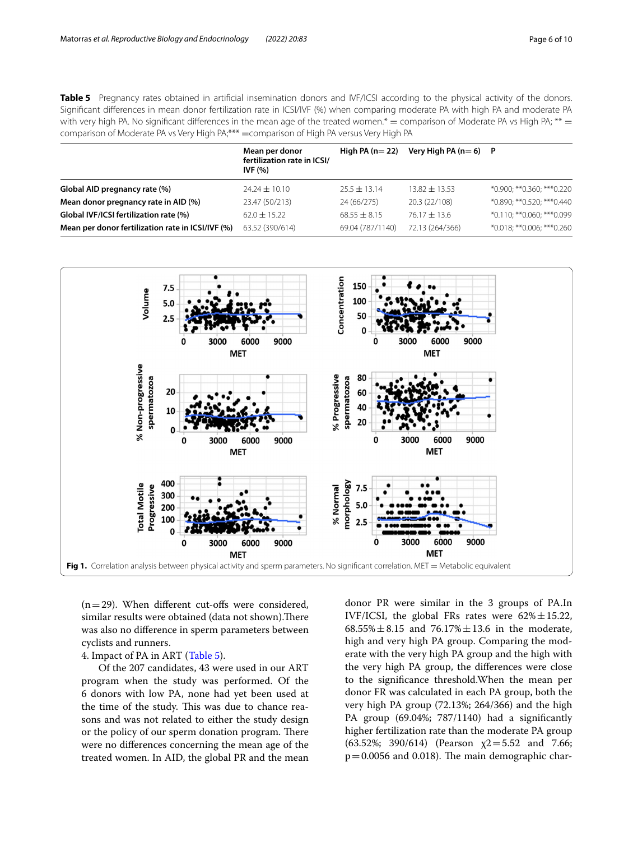<span id="page-5-1"></span>**Table 5** Pregnancy rates obtained in artificial insemination donors and IVF/ICSI according to the physical activity of the donors. Signifcant diferences in mean donor fertilization rate in ICSI/IVF (%) when comparing moderate PA with high PA and moderate PA with very high PA. No significant differences in the mean age of the treated women.\* = comparison of Moderate PA vs High PA; \*\* = comparison of Moderate PA vs Very High PA;\*\*\* = comparison of High PA versus Very High PA

|                                                   | Mean per donor<br>fertilization rate in ICSI/<br><b>IVF (%)</b> | High PA $(n=22)$ |                   | Very High PA $(n=6)$ P      |  |
|---------------------------------------------------|-----------------------------------------------------------------|------------------|-------------------|-----------------------------|--|
| Global AID pregnancy rate (%)                     | $74.24 \pm 10.10$                                               | $25.5 \pm 13.14$ | $13.82 \pm 13.53$ | *0.900; **0.360; ***0.220   |  |
| Mean donor pregnancy rate in AID (%)              | 23.47 (50/213)                                                  | 24 (66/275)      | 20.3 (22/108)     | *0.890; ** 0.520; *** 0.440 |  |
| Global IVF/ICSI fertilization rate (%)            | $62.0 \pm 15.22$                                                | $68.55 \pm 8.15$ | $76.17 \pm 13.6$  | *0.110: ** 0.060: *** 0.099 |  |
| Mean per donor fertilization rate in ICSI/IVF (%) | 63.52 (390/614)                                                 | 69.04 (787/1140) | 72.13 (264/366)   | *0.018; **0.006; ***0.260   |  |



<span id="page-5-0"></span> $(n=29)$ . When different cut-offs were considered, similar results were obtained (data not shown). There was also no diference in sperm parameters between cyclists and runners.

# 4. Impact of PA in ART [\(Table 5\)](#page-5-1).

Of the 207 candidates, 43 were used in our ART program when the study was performed. Of the 6 donors with low PA, none had yet been used at the time of the study. This was due to chance reasons and was not related to either the study design or the policy of our sperm donation program. There were no diferences concerning the mean age of the treated women. In AID, the global PR and the mean

donor PR were similar in the 3 groups of PA.In IVF/ICSI, the global FRs rates were  $62\% \pm 15.22$ ,  $68.55\% \pm 8.15$  and  $76.17\% \pm 13.6$  in the moderate, high and very high PA group. Comparing the moderate with the very high PA group and the high with the very high PA group, the diferences were close to the signifcance threshold.When the mean per donor FR was calculated in each PA group, both the very high PA group (72.13%; 264/366) and the high PA group (69.04%; 787/1140) had a signifcantly higher fertilization rate than the moderate PA group (63.52%; 390/614) (Pearson  $\chi$ 2=5.52 and 7.66;  $p=0.0056$  and 0.018). The main demographic char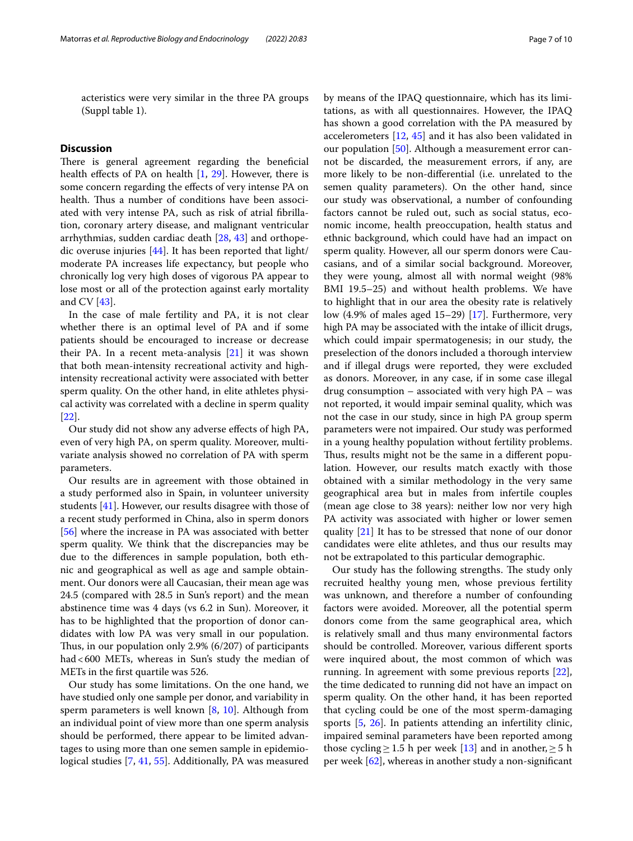acteristics were very similar in the three PA groups (Suppl table 1).

# **Discussion**

There is general agreement regarding the beneficial health effects of PA on health  $[1, 29]$  $[1, 29]$  $[1, 29]$ . However, there is some concern regarding the efects of very intense PA on health. Thus a number of conditions have been associated with very intense PA, such as risk of atrial fbrillation, coronary artery disease, and malignant ventricular arrhythmias, sudden cardiac death [\[28](#page-8-28), [43](#page-9-17)] and orthopedic overuse injuries [\[44](#page-9-18)]. It has been reported that light/ moderate PA increases life expectancy, but people who chronically log very high doses of vigorous PA appear to lose most or all of the protection against early mortality and CV [[43](#page-9-17)].

In the case of male fertility and PA, it is not clear whether there is an optimal level of PA and if some patients should be encouraged to increase or decrease their PA. In a recent meta-analysis [[21\]](#page-8-29) it was shown that both mean-intensity recreational activity and highintensity recreational activity were associated with better sperm quality. On the other hand, in elite athletes physical activity was correlated with a decline in sperm quality [[22\]](#page-8-19).

Our study did not show any adverse efects of high PA, even of very high PA, on sperm quality. Moreover, multivariate analysis showed no correlation of PA with sperm parameters.

Our results are in agreement with those obtained in a study performed also in Spain, in volunteer university students [[41\]](#page-9-2). However, our results disagree with those of a recent study performed in China, also in sperm donors [[56\]](#page-9-8) where the increase in PA was associated with better sperm quality. We think that the discrepancies may be due to the diferences in sample population, both ethnic and geographical as well as age and sample obtainment. Our donors were all Caucasian, their mean age was 24.5 (compared with 28.5 in Sun's report) and the mean abstinence time was 4 days (vs 6.2 in Sun). Moreover, it has to be highlighted that the proportion of donor candidates with low PA was very small in our population. Thus, in our population only 2.9%  $(6/207)$  of participants had<600 METs, whereas in Sun's study the median of METs in the frst quartile was 526.

Our study has some limitations. On the one hand, we have studied only one sample per donor, and variability in sperm parameters is well known  $[8, 10]$  $[8, 10]$  $[8, 10]$ . Although from an individual point of view more than one sperm analysis should be performed, there appear to be limited advantages to using more than one semen sample in epidemiological studies [\[7](#page-8-32), [41](#page-9-2), [55\]](#page-9-19). Additionally, PA was measured by means of the IPAQ questionnaire, which has its limitations, as with all questionnaires. However, the IPAQ has shown a good correlation with the PA measured by accelerometers [\[12](#page-8-18), [45](#page-9-15)] and it has also been validated in our population [\[50\]](#page-9-20). Although a measurement error cannot be discarded, the measurement errors, if any, are more likely to be non-diferential (i.e. unrelated to the semen quality parameters). On the other hand, since our study was observational, a number of confounding factors cannot be ruled out, such as social status, economic income, health preoccupation, health status and ethnic background, which could have had an impact on sperm quality. However, all our sperm donors were Caucasians, and of a similar social background. Moreover, they were young, almost all with normal weight (98% BMI 19.5–25) and without health problems. We have to highlight that in our area the obesity rate is relatively low (4.9% of males aged 15–29) [\[17](#page-8-33)]. Furthermore, very high PA may be associated with the intake of illicit drugs, which could impair spermatogenesis; in our study, the preselection of the donors included a thorough interview and if illegal drugs were reported, they were excluded as donors. Moreover, in any case, if in some case illegal drug consumption – associated with very high PA – was not reported, it would impair seminal quality, which was not the case in our study, since in high PA group sperm parameters were not impaired. Our study was performed in a young healthy population without fertility problems. Thus, results might not be the same in a different population. However, our results match exactly with those obtained with a similar methodology in the very same geographical area but in males from infertile couples (mean age close to 38 years): neither low nor very high PA activity was associated with higher or lower semen quality [\[21\]](#page-8-29) It has to be stressed that none of our donor candidates were elite athletes, and thus our results may not be extrapolated to this particular demographic.

Our study has the following strengths. The study only recruited healthy young men, whose previous fertility was unknown, and therefore a number of confounding factors were avoided. Moreover, all the potential sperm donors come from the same geographical area, which is relatively small and thus many environmental factors should be controlled. Moreover, various diferent sports were inquired about, the most common of which was running. In agreement with some previous reports [\[22](#page-8-19)], the time dedicated to running did not have an impact on sperm quality. On the other hand, it has been reported that cycling could be one of the most sperm-damaging sports [\[5](#page-8-34), [26\]](#page-8-35). In patients attending an infertility clinic, impaired seminal parameters have been reported among those cycling ≥ 1.5 h per week [\[13](#page-8-36)] and in another, ≥ 5 h per week [\[62\]](#page-9-12), whereas in another study a non-signifcant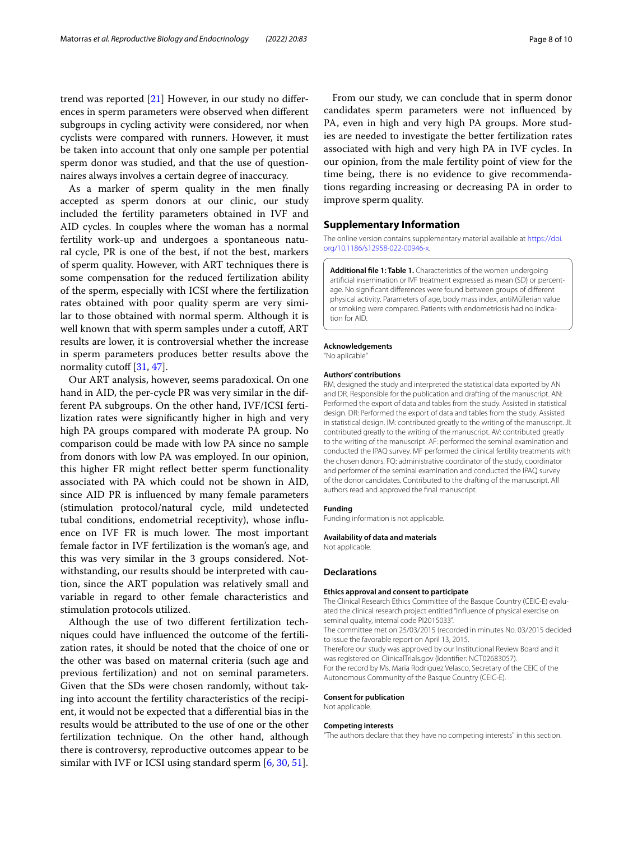trend was reported [[21\]](#page-8-29) However, in our study no diferences in sperm parameters were observed when diferent subgroups in cycling activity were considered, nor when cyclists were compared with runners. However, it must be taken into account that only one sample per potential sperm donor was studied, and that the use of questionnaires always involves a certain degree of inaccuracy.

As a marker of sperm quality in the men fnally accepted as sperm donors at our clinic, our study included the fertility parameters obtained in IVF and AID cycles. In couples where the woman has a normal fertility work-up and undergoes a spontaneous natural cycle, PR is one of the best, if not the best, markers of sperm quality. However, with ART techniques there is some compensation for the reduced fertilization ability of the sperm, especially with ICSI where the fertilization rates obtained with poor quality sperm are very similar to those obtained with normal sperm. Although it is well known that with sperm samples under a cutoff, ART results are lower, it is controversial whether the increase in sperm parameters produces better results above the normality cutoff  $[31, 47]$  $[31, 47]$  $[31, 47]$ .

Our ART analysis, however, seems paradoxical. On one hand in AID, the per-cycle PR was very similar in the different PA subgroups. On the other hand, IVF/ICSI fertilization rates were signifcantly higher in high and very high PA groups compared with moderate PA group. No comparison could be made with low PA since no sample from donors with low PA was employed. In our opinion, this higher FR might refect better sperm functionality associated with PA which could not be shown in AID, since AID PR is infuenced by many female parameters (stimulation protocol/natural cycle, mild undetected tubal conditions, endometrial receptivity), whose infuence on IVF FR is much lower. The most important female factor in IVF fertilization is the woman's age, and this was very similar in the 3 groups considered. Notwithstanding, our results should be interpreted with caution, since the ART population was relatively small and variable in regard to other female characteristics and stimulation protocols utilized.

Although the use of two diferent fertilization techniques could have infuenced the outcome of the fertilization rates, it should be noted that the choice of one or the other was based on maternal criteria (such age and previous fertilization) and not on seminal parameters. Given that the SDs were chosen randomly, without taking into account the fertility characteristics of the recipient, it would not be expected that a diferential bias in the results would be attributed to the use of one or the other fertilization technique. On the other hand, although there is controversy, reproductive outcomes appear to be similar with IVF or ICSI using standard sperm [[6,](#page-8-38) [30](#page-8-39), [51\]](#page-9-22).

From our study, we can conclude that in sperm donor candidates sperm parameters were not infuenced by PA, even in high and very high PA groups. More studies are needed to investigate the better fertilization rates associated with high and very high PA in IVF cycles. In our opinion, from the male fertility point of view for the time being, there is no evidence to give recommendations regarding increasing or decreasing PA in order to improve sperm quality.

#### **Supplementary Information**

The online version contains supplementary material available at [https://doi.](https://doi.org/10.1186/s12958-022-00946-x) [org/10.1186/s12958-022-00946-x.](https://doi.org/10.1186/s12958-022-00946-x)

**Additional fle 1: Table 1.** Characteristics of the women undergoing artifcial insemination or IVF treatment expressed as mean (SD) or percentage. No signifcant diferences were found between groups of diferent physical activity. Parameters of age, body mass index, antiMüllerian value or smoking were compared. Patients with endometriosis had no indication for AID.

#### **Acknowledgements**

"No aplicable"

#### **Authors' contributions**

RM, designed the study and interpreted the statistical data exported by AN and DR. Responsible for the publication and drafting of the manuscript. AN: Performed the export of data and tables from the study. Assisted in statistical design. DR: Performed the export of data and tables from the study. Assisted in statistical design. IM: contributed greatly to the writing of the manuscript. JI: contributed greatly to the writing of the manuscript. AV: contributed greatly to the writing of the manuscript. AF: performed the seminal examination and conducted the IPAQ survey. MF performed the clinical fertility treatments with the chosen donors. FQ: administrative coordinator of the study, coordinator and performer of the seminal examination and conducted the IPAQ survey of the donor candidates. Contributed to the drafting of the manuscript. All authors read and approved the fnal manuscript.

#### **Funding**

Funding information is not applicable.

#### **Availability of data and materials**

Not applicable.

#### **Declarations**

#### **Ethics approval and consent to participate**

The Clinical Research Ethics Committee of the Basque Country (CEIC-E) evaluated the clinical research project entitled "Infuence of physical exercise on seminal quality, internal code PI2015033".

The committee met on 25/03/2015 (recorded in minutes No. 03/2015 decided to issue the favorable report on April 13, 2015.

Therefore our study was approved by our Institutional Review Board and it was registered on ClinicalTrials.gov (Identifer: NCT02683057). For the record by Ms. Maria Rodriguez Velasco, Secretary of the CEIC of the Autonomous Community of the Basque Country (CEIC-E).

#### **Consent for publication**

Not applicable.

#### **Competing interests**

"The authors declare that they have no competing interests" in this section.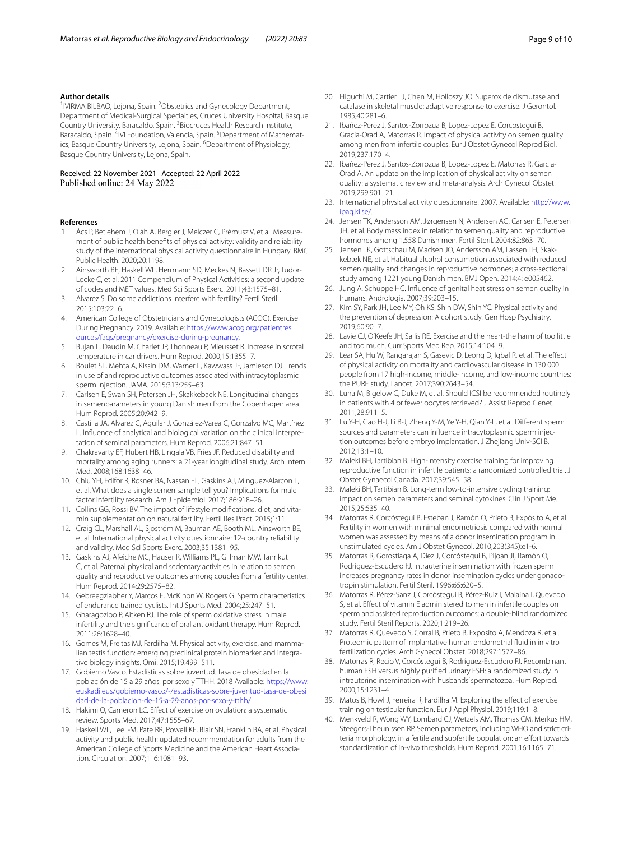#### **Author details**

<sup>1</sup> IVIRMA BILBAO, Lejona, Spain. <sup>2</sup> Obstetrics and Gynecology Department, Department of Medical-Surgical Specialties, Cruces University Hospital, Basque Country University, Baracaldo, Spain. <sup>3</sup> Biocruces Health Research Institute, Baracaldo, Spain. <sup>4</sup>IVI Foundation, Valencia, Spain. <sup>5</sup>Department of Mathematics, Basque Country University, Lejona, Spain. <sup>6</sup>Department of Physiology, Basque Country University, Lejona, Spain.

# Received: 22 November 2021 Accepted: 22 April 2022

#### **References**

- <span id="page-8-26"></span>1. Ács P, Betlehem J, Oláh A, Bergier J, Melczer C, Prémusz V, et al. Measurement of public health benefts of physical activity: validity and reliability study of the international physical activity questionnaire in Hungary. BMC Public Health. 2020;20:1198.
- <span id="page-8-20"></span>2. Ainsworth BE, Haskell WL, Herrmann SD, Meckes N, Bassett DR Jr, Tudor-Locke C, et al. 2011 Compendium of Physical Activities: a second update of codes and MET values. Med Sci Sports Exerc. 2011;43:1575–81.
- <span id="page-8-3"></span>3. Alvarez S. Do some addictions interfere with fertility? Fertil Steril. 2015;103:22–6.
- <span id="page-8-6"></span>4. American College of Obstetricians and Gynecologists (ACOG). Exercise During Pregnancy. 2019. Available: [https://www.acog.org/patientres](https://www.acog.org/patientresources/faqs/pregnancy/exercise-during-pregnancy) [ources/faqs/pregnancy/exercise-during-pregnancy](https://www.acog.org/patientresources/faqs/pregnancy/exercise-during-pregnancy).
- <span id="page-8-34"></span>5. Bujan L, Daudin M, Charlet JP, Thonneau P, Mieusset R. Increase in scrotal temperature in car drivers. Hum Reprod. 2000;15:1355–7.
- <span id="page-8-38"></span>6. Boulet SL, Mehta A, Kissin DM, Warner L, Kawwass JF, Jamieson DJ. Trends in use of and reproductive outcomes associated with intracytoplasmic sperm injection. JAMA. 2015;313:255–63.
- <span id="page-8-32"></span>7. Carlsen E, Swan SH, Petersen JH, Skakkebaek NE. Longitudinal changes in semenparameters in young Danish men from the Copenhagen area. Hum Reprod. 2005;20:942–9.
- <span id="page-8-30"></span>Castilla JA, Alvarez C, Aguilar J, González-Varea C, Gonzalvo MC, Martínez L. Infuence of analytical and biological variation on the clinical interpretation of seminal parameters. Hum Reprod. 2006;21:847–51.
- <span id="page-8-0"></span>9. Chakravarty EF, Hubert HB, Lingala VB, Fries JF. Reduced disability and mortality among aging runners: a 21-year longitudinal study. Arch Intern Med. 2008;168:1638–46.
- <span id="page-8-31"></span>10. Chiu YH, Edifor R, Rosner BA, Nassan FL, Gaskins AJ, Minguez-Alarcon L, et al. What does a single semen sample tell you? Implications for male factor infertility research. Am J Epidemiol. 2017;186:918–26.
- <span id="page-8-4"></span>11. Collins GG, Rossi BV. The impact of lifestyle modifcations, diet, and vitamin supplementation on natural fertility. Fertil Res Pract. 2015;1:11.
- <span id="page-8-18"></span>12. Craig CL, Marshall AL, Sjöström M, Bauman AE, Booth ML, Ainsworth BE, et al. International physical activity questionnaire: 12-country reliability and validity. Med Sci Sports Exerc. 2003;35:1381–95.
- <span id="page-8-36"></span>13. Gaskins AJ, Afeiche MC, Hauser R, Williams PL, Gillman MW, Tanrikut C, et al. Paternal physical and sedentary activities in relation to semen quality and reproductive outcomes among couples from a fertility center. Hum Reprod. 2014;29:2575–82.
- <span id="page-8-12"></span>14. Gebreegziabher Y, Marcos E, McKinon W, Rogers G. Sperm characteristics of endurance trained cyclists. Int J Sports Med. 2004;25:247–51.
- <span id="page-8-17"></span>15. Gharagozloo P, Aitken RJ. The role of sperm oxidative stress in male infertility and the signifcance of oral antioxidant therapy. Hum Reprod. 2011;26:1628–40.
- <span id="page-8-8"></span>16. Gomes M, Freitas MJ, Fardilha M. Physical activity, exercise, and mammalian testis function: emerging preclinical protein biomarker and integrative biology insights. Omi. 2015;19:499–511.
- <span id="page-8-33"></span>17. Gobierno Vasco. Estadísticas sobre juventud. Tasa de obesidad en la población de 15 a 29 años, por sexo y TTHH. 2018 Available: [https://www.](https://www.euskadi.eus/gobierno-vasco/-/estadisticas-sobre-juventud-tasa-de-obesidad-de-la-poblacion-de-15-a-29-anos-por-sexo-y-tthh/) [euskadi.eus/gobierno-vasco/-/estadisticas-sobre-juventud-tasa-de-obesi](https://www.euskadi.eus/gobierno-vasco/-/estadisticas-sobre-juventud-tasa-de-obesidad-de-la-poblacion-de-15-a-29-anos-por-sexo-y-tthh/) [dad-de-la-poblacion-de-15-a-29-anos-por-sexo-y-tthh/](https://www.euskadi.eus/gobierno-vasco/-/estadisticas-sobre-juventud-tasa-de-obesidad-de-la-poblacion-de-15-a-29-anos-por-sexo-y-tthh/)
- <span id="page-8-5"></span>18. Hakimi O, Cameron LC. Efect of exercise on ovulation: a systematic review. Sports Med. 2017;47:1555–67.
- <span id="page-8-1"></span>19. Haskell WL, Lee I-M, Pate RR, Powell KE, Blair SN, Franklin BA, et al. Physical activity and public health: updated recommendation for adults from the American College of Sports Medicine and the American Heart Association. Circulation. 2007;116:1081–93.
- <span id="page-8-7"></span>20. Higuchi M, Cartier LJ, Chen M, Holloszy JO. Superoxide dismutase and catalase in skeletal muscle: adaptive response to exercise. J Gerontol. 1985;40:281–6.
- <span id="page-8-29"></span>21. Ibañez-Perez J, Santos-Zorrozua B, Lopez-Lopez E, Corcostegui B, Gracia-Orad A, Matorras R. Impact of physical activity on semen quality among men from infertile couples. Eur J Obstet Gynecol Reprod Biol. 2019;237:170–4.
- <span id="page-8-19"></span>22. Ibañez-Perez J, Santos-Zorrozua B, Lopez-Lopez E, Matorras R, Garcia-Orad A. An update on the implication of physical activity on semen quality: a systematic review and meta-analysis. Arch Gynecol Obstet 2019;299:901–21.
- <span id="page-8-15"></span>23. International physical activity questionnaire. 2007. Available: [http://www.](http://www.ipaq.ki.se/) [ipaq.ki.se/](http://www.ipaq.ki.se/).
- <span id="page-8-10"></span>24. Jensen TK, Andersson AM, Jørgensen N, Andersen AG, Carlsen E, Petersen JH, et al. Body mass index in relation to semen quality and reproductive hormones among 1,558 Danish men. Fertil Steril. 2004;82:863–70.
- <span id="page-8-11"></span>25. Jensen TK, Gottschau M, Madsen JO, Andersson AM, Lassen TH, Skakkebæk NE, et al. Habitual alcohol consumption associated with reduced semen quality and changes in reproductive hormones; a cross-sectional study among 1221 young Danish men. BMJ Open. 2014;4: e005462.
- <span id="page-8-35"></span>26. Jung A, Schuppe HC. Infuence of genital heat stress on semen quality in humans. Andrologia. 2007;39:203–15.
- <span id="page-8-2"></span>27. Kim SY, Park JH, Lee MY, Oh KS, Shin DW, Shin YC. Physical activity and the prevention of depression: A cohort study. Gen Hosp Psychiatry. 2019;60:90–7.
- <span id="page-8-28"></span>28. Lavie CJ, O'Keefe JH, Sallis RE. Exercise and the heart-the harm of too little and too much. Curr Sports Med Rep. 2015;14:104–9.
- <span id="page-8-27"></span>29. Lear SA, Hu W, Rangarajan S, Gasevic D, Leong D, Iqbal R, et al. The efect of physical activity on mortality and cardiovascular disease in 130 000 people from 17 high-income, middle-income, and low-income countries: the PURE study. Lancet. 2017;390:2643–54.
- <span id="page-8-39"></span>30. Luna M, Bigelow C, Duke M, et al. Should ICSI be recommended routinely in patients with 4 or fewer oocytes retrieved? J Assist Reprod Genet. 2011;28:911–5.
- <span id="page-8-37"></span>31. Lu Y-H, Gao H-J, Li B-J, Zheng Y-M, Ye Y-H, Qian Y-L, et al. Diferent sperm sources and parameters can infuence intracytoplasmic sperm injection outcomes before embryo implantation. J Zhejiang Univ-SCI B. 2012;13:1–10.
- <span id="page-8-13"></span>32. Maleki BH, Tartibian B. High-intensity exercise training for improving reproductive function in infertile patients: a randomized controlled trial. J Obstet Gynaecol Canada. 2017;39:545–58.
- <span id="page-8-14"></span>33. Maleki BH, Tartibian B. Long-term low-to-intensive cycling training: impact on semen parameters and seminal cytokines. Clin J Sport Me. 2015;25:535–40.
- <span id="page-8-24"></span>34. Matorras R, Corcóstegui B, Esteban J, Ramón O, Prieto B, Expósito A, et al. Fertility in women with minimal endometriosis compared with normal women was assessed by means of a donor insemination program in unstimulated cycles. Am J Obstet Gynecol. 2010;203(345):e1-6.
- <span id="page-8-22"></span>35. Matorras R, Gorostiaga A, Diez J, Corcóstegui B, Pijoan JI, Ramón O, Rodríguez-Escudero FJ. Intrauterine insemination with frozen sperm increases pregnancy rates in donor insemination cycles under gonadotropin stimulation. Fertil Steril. 1996;65:620–5.
- <span id="page-8-16"></span>36. Matorras R, Pérez-Sanz J, Corcóstegui B, Pérez-Ruiz I, Malaina I, Quevedo S, et al. Efect of vitamin E administered to men in infertile couples on sperm and assisted reproduction outcomes: a double-blind randomized study. Fertil Steril Reports. 2020;1:219–26.
- <span id="page-8-25"></span>37. Matorras R, Quevedo S, Corral B, Prieto B, Exposito A, Mendoza R, et al. Proteomic pattern of implantative human endometrial fuid in in vitro fertilization cycles. Arch Gynecol Obstet. 2018;297:1577–86.
- <span id="page-8-23"></span>38. Matorras R, Recio V, Corcóstegui B, Rodríguez-Escudero FJ. Recombinant human FSH versus highly purifed urinary FSH: a randomized study in intrauterine insemination with husbands' spermatozoa. Hum Reprod. 2000;15:1231–4.
- <span id="page-8-9"></span>39. Matos B, Howl J, Ferreira R, Fardilha M. Exploring the efect of exercise training on testicular function. Eur J Appl Physiol. 2019;119:1–8.
- <span id="page-8-21"></span>40. Menkveld R, Wong WY, Lombard CJ, Wetzels AM, Thomas CM, Merkus HM, Steegers-Theunissen RP. Semen parameters, including WHO and strict criteria morphology, in a fertile and subfertile population: an effort towards standardization of in-vivo thresholds. Hum Reprod. 2001;16:1165–71.